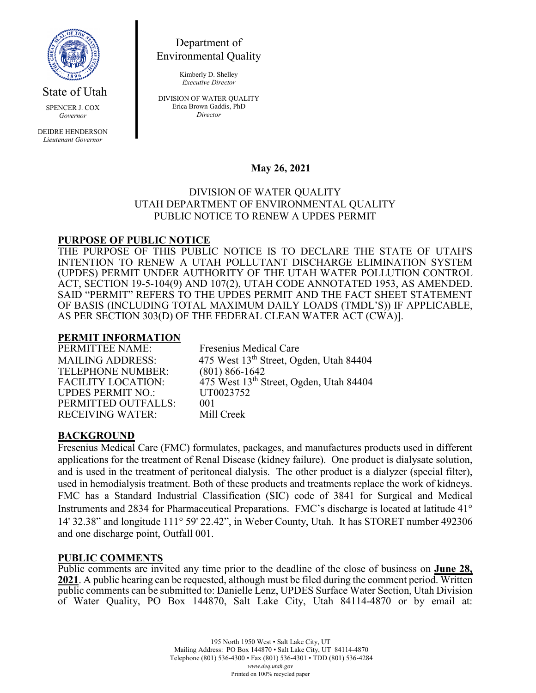

State of Utah

SPENCER J. COX *Governor*

DEIDRE HENDERSON *Lieutenant Governor*

Department of Environmental Quality

> Kimberly D. Shelley *Executive Director*

DIVISION OF WATER QUALITY Erica Brown Gaddis, PhD *Director*

# **May 26, 2021**

### DIVISION OF WATER QUALITY UTAH DEPARTMENT OF ENVIRONMENTAL QUALITY PUBLIC NOTICE TO RENEW A UPDES PERMIT

## **PURPOSE OF PUBLIC NOTICE**

THE PURPOSE OF THIS PUBLIC NOTICE IS TO DECLARE THE STATE OF UTAH'S INTENTION TO RENEW A UTAH POLLUTANT DISCHARGE ELIMINATION SYSTEM (UPDES) PERMIT UNDER AUTHORITY OF THE UTAH WATER POLLUTION CONTROL ACT, SECTION 19-5-104(9) AND 107(2), UTAH CODE ANNOTATED 1953, AS AMENDED. SAID "PERMIT" REFERS TO THE UPDES PERMIT AND THE FACT SHEET STATEMENT OF BASIS (INCLUDING TOTAL MAXIMUM DAILY LOADS (TMDL'S)) IF APPLICABLE, AS PER SECTION 303(D) OF THE FEDERAL CLEAN WATER ACT (CWA)].

# **PERMIT INFORMATION**

TELEPHONE NUMBER:<br>FACILITY LOCATION: UPDES PERMIT NO.: PERMITTED OUTFALLS: 001<br>RECEIVING WATER: Mill Creek **RECEIVING WATER:** 

Fresenius Medical Care MAILING ADDRESS: 475 West 13<sup>th</sup> Street, Ogden, Utah 84404<br>TELEPHONE NUMBER: (801) 866-1642  $\frac{\text{A}}{175}$  West 13<sup>th</sup> Street, Ogden, Utah 84404<br>UT0023752

# **BACKGROUND**

Fresenius Medical Care (FMC) formulates, packages, and manufactures products used in different applications for the treatment of Renal Disease (kidney failure). One product is dialysate solution, and is used in the treatment of peritoneal dialysis. The other product is a dialyzer (special filter), used in hemodialysis treatment. Both of these products and treatments replace the work of kidneys. FMC has a Standard Industrial Classification (SIC) code of 3841 for Surgical and Medical Instruments and 2834 for Pharmaceutical Preparations. FMC's discharge is located at latitude 41° 14' 32.38" and longitude 111° 59' 22.42", in Weber County, Utah. It has STORET number 492306 and one discharge point, Outfall 001.

### **PUBLIC COMMENTS**

Public comments are invited any time prior to the deadline of the close of business on **June 28, 2021**. A public hearing can be requested, although must be filed during the comment period. Written public comments can be submitted to: Danielle Lenz, UPDES Surface Water Section, Utah Division of Water Quality, PO Box 144870, Salt Lake City, Utah 84114-4870 or by email at: